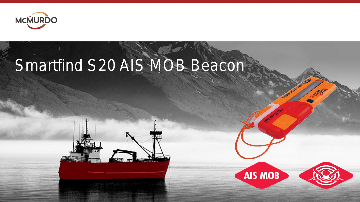

# Smartfind S20 AIS MOB Beacon



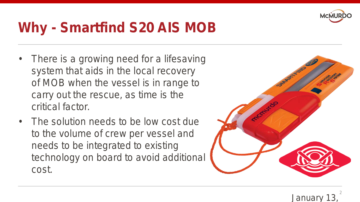

### **Why - Smartfind S20 AIS MOB**

- There is a growing need for a lifesaving system that aids in the local recovery of MOB when the vessel is in range to carry out the rescue, as time is the critical factor.
- The solution needs to be low cost due to the volume of crew per vessel and needs to be integrated to existing technology on board to avoid additional cost.

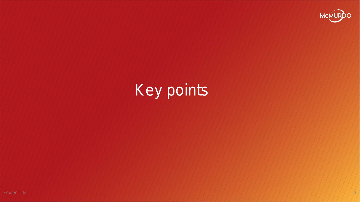

# Key points

Footer Title  $3$  , and a set of the set of the set of the set of the set of the set of the set of the set of the set of the set of the set of the set of the set of the set of the set of the set of the set of the set of th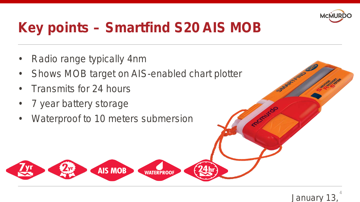

### **Key points – Smartfind S20 AIS MOB**

- Radio range typically 4nm
- Shows MOB target on AIS-enabled chart plotter
- Transmits for 24 hours
- 7 year battery storage
- Waterproof to 10 meters submersion

**AIS MOB** 

**WATERPROOF** 



ACCANYCO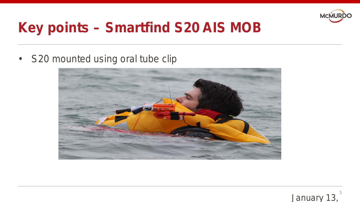

### **Key points – Smartfind S20 AIS MOB**

• S20 mounted using oral tube clip



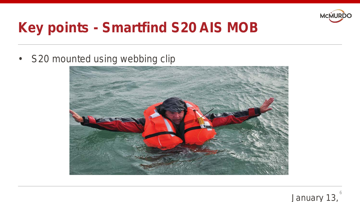

### **Key points - Smartfind S20 AIS MOB**

• S20 mounted using webbing clip



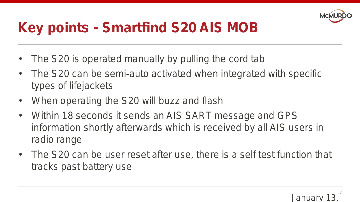

### **Key points - Smartfind S20 AIS MOB**

- The S20 is operated manually by pulling the cord tab
- The S20 can be semi-auto activated when integrated with specific types of lifejackets
- When operating the S20 will buzz and flash
- Within 18 seconds it sends an AIS SART message and GPS information shortly afterwards which is received by all AIS users in radio range
- The S20 can be user reset after use, there is a self test function that tracks past battery use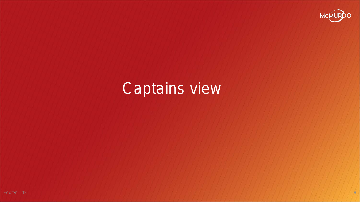

# Captains view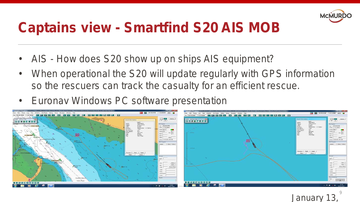

### **Captains view - Smartfind S20 AIS MOB**

- AIS How does S20 show up on ships AIS equipment?
- When operational the S20 will update regularly with GPS information so the rescuers can track the casualty for an efficient rescue.
- Euronav Windows PC software presentation



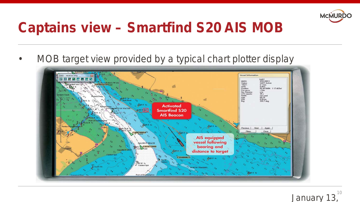

### **Captains view – Smartfind S20 AIS MOB**

• MOB target view provided by a typical chart plotter display



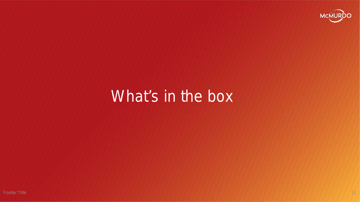

### What's in the box

Footer Title 1 (11) In the second contract of the second state of the second contract of the second contract of the second contract of the second contract of the second contract of the second contract of the second contra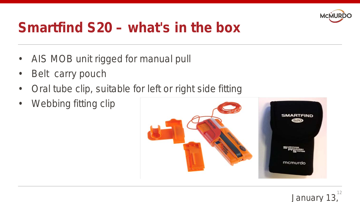

### **Smartfind S20 – what's in the box**

- AIS MOB unit rigged for manual pull
- Belt carry pouch
- Oral tube clip, suitable for left or right side fitting
- Webbing fitting clip

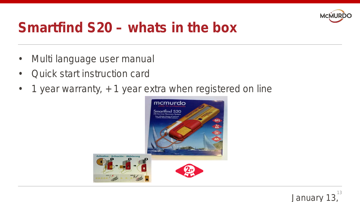

#### **Smartfind S20 – whats in the box**

- Multi language user manual
- Quick start instruction card
- 1 year warranty, + 1 year extra when registered on line